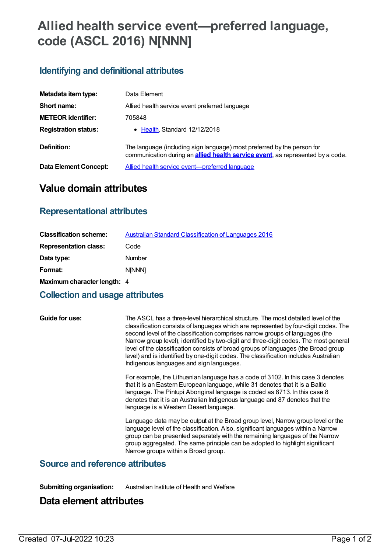# **Allied health service event—preferred language, code (ASCL 2016) N[NNN]**

## **Identifying and definitional attributes**

| Metadata item type:         | Data Element                                                                                                                                                      |
|-----------------------------|-------------------------------------------------------------------------------------------------------------------------------------------------------------------|
| Short name:                 | Allied health service event preferred language                                                                                                                    |
| <b>METEOR identifier:</b>   | 705848                                                                                                                                                            |
| <b>Registration status:</b> | • Health, Standard 12/12/2018                                                                                                                                     |
| Definition:                 | The language (including sign language) most preferred by the person for<br>communication during an <b>allied health service event</b> , as represented by a code. |
| Data Element Concept:       | Allied health service event-preferred language                                                                                                                    |

## **Value domain attributes**

## **Representational attributes**

| <b>Classification scheme:</b> | Australian Standard Classification of Languages 2016 |
|-------------------------------|------------------------------------------------------|
| <b>Representation class:</b>  | Code                                                 |
| Data type:                    | Number                                               |
| Format:                       | <b>NINNNI</b>                                        |
| Maximum character length: 4   |                                                      |

## **Collection and usage attributes**

**Guide for use:** The ASCL has a three-level hierarchical structure. The most detailed level of the classification consists of languages which are represented by four-digit codes. The second level of the classification comprises narrow groups of languages (the Narrow group level), identified by two-digit and three-digit codes. The most general level of the classification consists of broad groups of languages (the Broad group level) and is identified by one-digit codes. The classification includes Australian Indigenous languages and sign languages.

> For example, the Lithuanian language has a code of 3102. In this case 3 denotes that it is an Eastern European language, while 31 denotes that it is a Baltic language. The Pintupi Aboriginal language is coded as 8713. In this case 8 denotes that it is an Australian Indigenous language and 87 denotes that the language is a Western Desert language.

> Language data may be output at the Broad group level, Narrow group level or the language level of the classification. Also, significant languages within a Narrow group can be presented separately with the remaining languages of the Narrow group aggregated. The same principle can be adopted to highlight significant Narrow groups within a Broad group.

### **Source and reference attributes**

**Submitting organisation:** Australian Institute of Health and Welfare

## **Data element attributes**